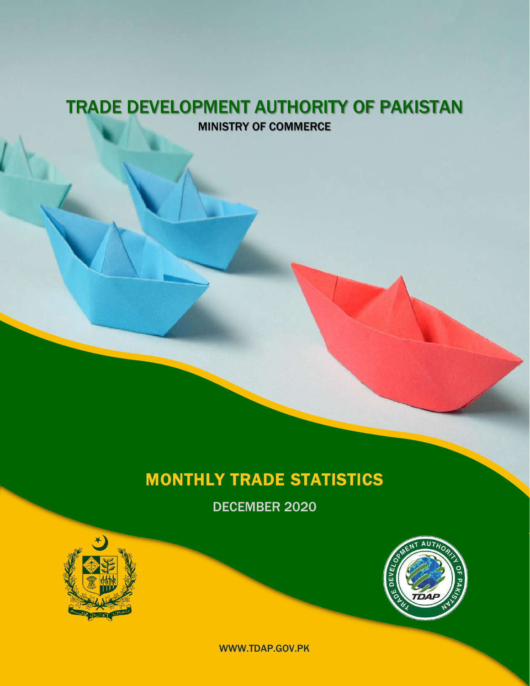### TRADE DEVELOPMENT AUTHORITY OF PAKISTAN MINISTRY OF COMMERCE

## MONTHLY TRADE STATISTICS

DECEMBER 2020





WWW.TDAP.GOV.PK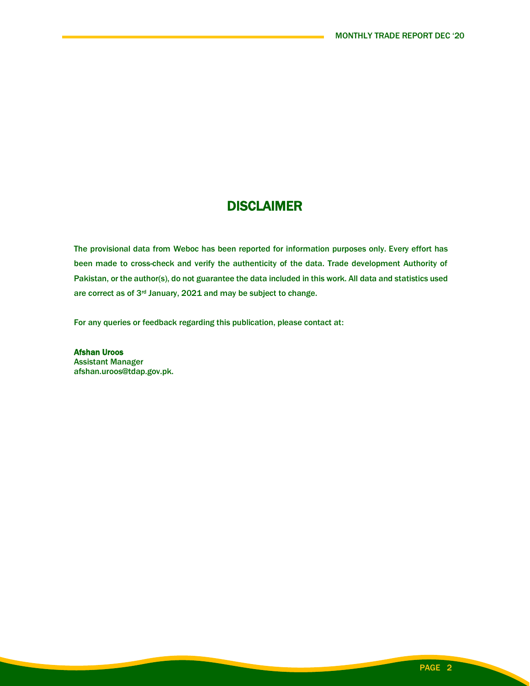### **DISCLAIMER**

The provisional data from Weboc has been reported for information purposes only. Every effort has been made to cross-check and verify the authenticity of the data. Trade development Authority of Pakistan, or the author(s), do not guarantee the data included in this work. All data and statistics used are correct as of 3rd January, 2021 and may be subject to change.

For any queries or feedback regarding this publication, please contact at:

Afshan Uroos Assistant Manager afshan.uroos@tdap.gov.pk.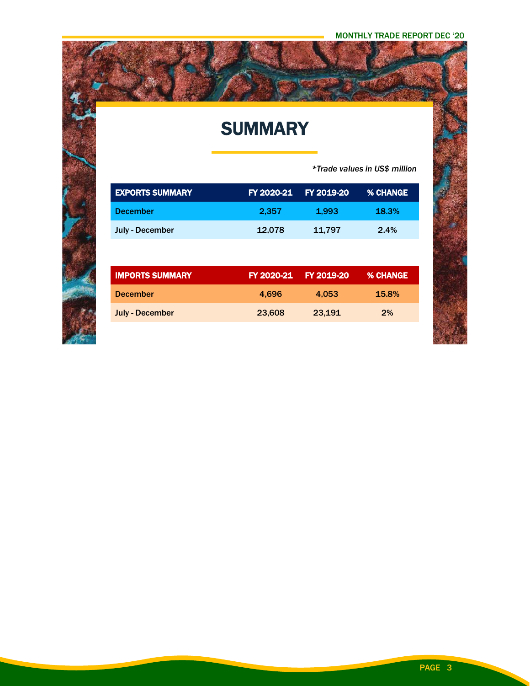# **SUMMARY**

 *\*Trade values in US\$ million*

| <b>EXPORTS SUMMARY</b> | FY 2020-21 | FY 2019-20 | % CHANGE        |
|------------------------|------------|------------|-----------------|
| <b>December</b>        | 2,357      | 1,993      | 18.3%           |
| July - December        | 12,078     | 11,797     | 2.4%            |
|                        |            |            |                 |
|                        |            |            |                 |
| <b>IMPORTS SUMMARY</b> | FY 2020-21 | FY 2019-20 | <b>% CHANGE</b> |
| <b>December</b>        | 4.696      | 4.053      | 15.8%           |
| <b>July - December</b> | 23,608     | 23,191     | 2%              |

PAGE 3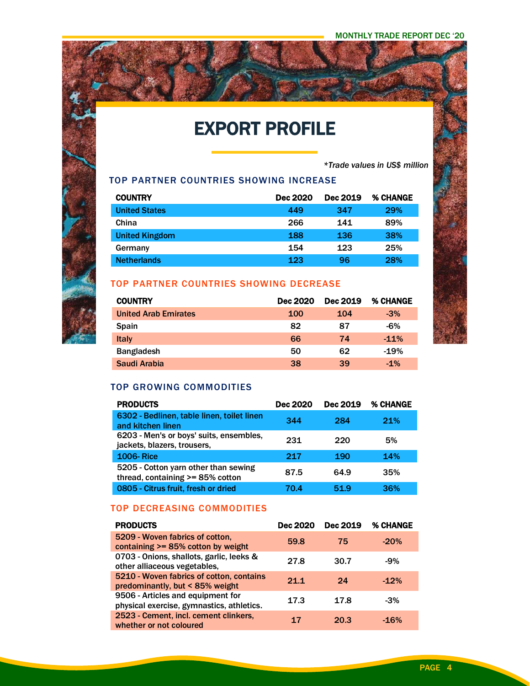# EXPORT PROFILE

*\*Trade values in US\$ million*

#### TOP PARTNER COUNTRIES SHOWING INCREASE

| <b>COUNTRY</b>        | Dec 2020 | Dec 2019 | <b>% CHANGE</b> |
|-----------------------|----------|----------|-----------------|
| <b>United States</b>  | 449      | 347      | 29%             |
| China                 | 266      | 141      | 89%             |
| <b>United Kingdom</b> | 188      | 136      | 38%             |
| Germany               | 154      | 123      | 25%             |
| <b>Netherlands</b>    | 123      | 96       | 28%             |

#### TOP PARTNER COUNTRIES SHOWING DECREASE

| <b>COUNTRY</b>              | Dec 2020   | Dec 2019 | % CHANGE |
|-----------------------------|------------|----------|----------|
| <b>United Arab Emirates</b> | <b>100</b> | 104      | $-3%$    |
| <b>Spain</b>                | 82         | 87       | $-6%$    |
| <b>Italy</b>                | 66         | 74       | $-11%$   |
| <b>Bangladesh</b>           | 50         | 62       | $-19%$   |
| Saudi Arabia                | 38         | 39       | $-1%$    |

#### TOP GROWING COMMODITIES

i<br>F

| <b>PRODUCTS</b>                                                          | <b>Dec 2020</b> | Dec 2019 | % CHANGE |
|--------------------------------------------------------------------------|-----------------|----------|----------|
| 6302 - Bedlinen, table linen, toilet linen<br>and kitchen linen          | 344             | 284      | 21%      |
| 6203 - Men's or boys' suits, ensembles,<br>jackets, blazers, trousers,   | 231             | 220      | 5%       |
| <b>1006-Rice</b>                                                         | 217             | 190      | 14%      |
| 5205 - Cotton yarn other than sewing<br>thread, containing >= 85% cotton | 87.5            | 64.9     | 35%      |
| 0805 - Citrus fruit, fresh or dried                                      | 70.4            | 51.9     | 36%      |

#### TOP DECREASING COMMODITIES

| <b>PRODUCTS</b>                                                                | Dec 2020 | Dec 2019 | % CHANGE |
|--------------------------------------------------------------------------------|----------|----------|----------|
| 5209 - Woven fabrics of cotton,<br>containing >= 85% cotton by weight          | 59.8     | 75       | $-20%$   |
| 0703 - Onions, shallots, garlic, leeks &<br>other alliaceous vegetables,       | 27.8     | 30.7     | $-9%$    |
| 5210 - Woven fabrics of cotton, contains<br>predominantly, but < 85% weight    | 21.1     | 24       | $-12%$   |
| 9506 - Articles and equipment for<br>physical exercise, gymnastics, athletics. | 17.3     | 17.8     | $-3%$    |
| 2523 - Cement, incl. cement clinkers,<br>whether or not coloured               | 17       | 20.3     | $-16%$   |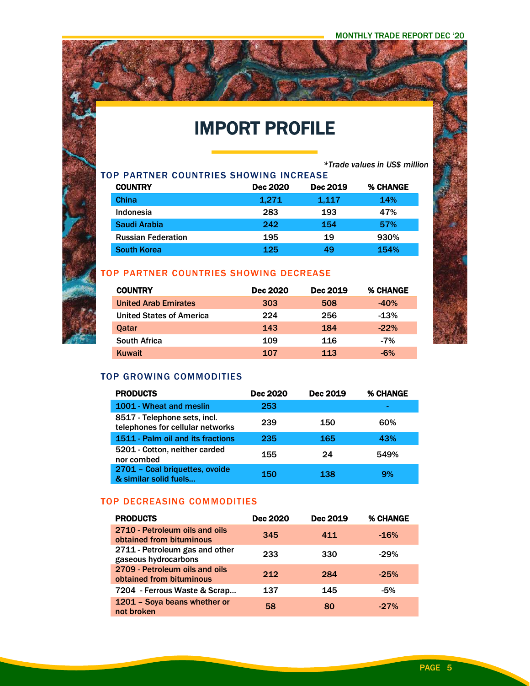## IMPORT PROFILE

*\*Trade values in US\$ million*

| TOP PARTNER COUNTRIES SHOWING INCREASE |                           |                 |          |                 |  |
|----------------------------------------|---------------------------|-----------------|----------|-----------------|--|
|                                        | <b>COUNTRY</b>            | <b>Dec 2020</b> | Dec 2019 | <b>% CHANGE</b> |  |
| <b>China</b>                           |                           | 1.271           | 1,117    | 14%             |  |
|                                        | Indonesia                 | 283             | 193      | 47%             |  |
|                                        | Saudi Arabia              | 242             | 154      | 57%             |  |
|                                        | <b>Russian Federation</b> | 195             | 19       | 930%            |  |
|                                        | <b>South Korea</b>        | 125             | 49       | 154%            |  |

### TOP PARTNER COUNTRIES SHOWING DECREASE

| <b>COUNTRY</b>                  | <b>Dec 2020</b> | Dec 2019 | % CHANGE |
|---------------------------------|-----------------|----------|----------|
| <b>United Arab Emirates</b>     | 303             | 508      | $-40%$   |
| <b>United States of America</b> | 224             | 256      | $-13%$   |
| <b>Oatar</b>                    | 143             | 184      | $-22\%$  |
| <b>South Africa</b>             | 109             | 116      | $-7%$    |
| Kuwait                          | 107             | 113      | -6%      |

#### TOP GROWING COMMODITIES

ina<br>Pina

| <b>PRODUCTS</b>                                                  | Dec 2020 | Dec 2019 | <b>% CHANGE</b> |
|------------------------------------------------------------------|----------|----------|-----------------|
| 1001 - Wheat and meslin                                          | 253      |          | ۰               |
| 8517 - Telephone sets, incl.<br>telephones for cellular networks | 239      | 150      | 60%             |
| 1511 - Palm oil and its fractions                                | 235      | 165      | 43%             |
| 5201 - Cotton, neither carded<br>nor combed                      | 155      | 24       | 549%            |
| 2701 - Coal briquettes, ovoide<br>& similar solid fuels          | 150      | 138      | 9%              |

#### TOP DECREASING COMMODITIES

| <b>PRODUCTS</b>                                            | <b>Dec 2020</b> | <b>Dec 2019</b> | % CHANGE |
|------------------------------------------------------------|-----------------|-----------------|----------|
| 2710 - Petroleum oils and oils<br>obtained from bituminous | 345             | 411             | $-16%$   |
| 2711 - Petroleum gas and other<br>gaseous hydrocarbons     | 233             | 330             | $-29%$   |
| 2709 - Petroleum oils and oils<br>obtained from bituminous | 212             | 284             | $-25%$   |
| 7204 - Ferrous Waste & Scrap                               | 137             | 145             | -5%      |
| 1201 - Soya beans whether or<br>not broken                 | 58              | 80              | $-27%$   |